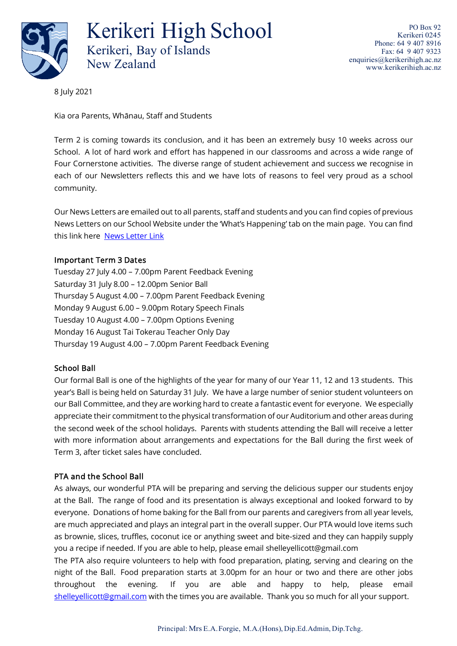

Kerikeri High School Kerikeri, Bay of Islands New Zealand

PO Box 92 Kerikeri 0245 Phone: 64 9 407 8916 Fax: 64 9 407 9323 [enquiries@kerikerihigh.ac.nz](mailto:enquiries@kerikerihigh.ac.nz) [www.kerikerihigh.ac.nz](http://www.kerikerihigh.ac.nz/)

8 July 2021

Kia ora Parents, Whānau, Staff and Students

Term 2 is coming towards its conclusion, and it has been an extremely busy 10 weeks across our School. A lot of hard work and effort has happened in our classrooms and across a wide range of Four Cornerstone activities. The diverse range of student achievement and success we recognise in each of our Newsletters reflects this and we have lots of reasons to feel very proud as a school community.

Our News Letters are emailed out to all parents, staff and students and you can find copies of previous News Letters on our School Website under the 'What's Happening' tab on the main page. You can find this link here [News Letter Link](http://www.kerikerihigh.ac.nz/newsletters.php)

#### Important Term 3 Dates

Tuesday 27 July 4.00 – 7.00pm Parent Feedback Evening Saturday 31 July 8.00 – 12.00pm Senior Ball Thursday 5 August 4.00 – 7.00pm Parent Feedback Evening Monday 9 August 6.00 – 9.00pm Rotary Speech Finals Tuesday 10 August 4.00 – 7.00pm Options Evening Monday 16 August Tai Tokerau Teacher Only Day Thursday 19 August 4.00 – 7.00pm Parent Feedback Evening

# School Ball

Our formal Ball is one of the highlights of the year for many of our Year 11, 12 and 13 students. This year's Ball is being held on Saturday 31 July. We have a large number of senior student volunteers on our Ball Committee, and they are working hard to create a fantastic event for everyone. We especially appreciate their commitment to the physical transformation of our Auditorium and other areas during the second week of the school holidays. Parents with students attending the Ball will receive a letter with more information about arrangements and expectations for the Ball during the first week of Term 3, after ticket sales have concluded.

# PTA and the School Ball

As always, our wonderful PTA will be preparing and serving the delicious supper our students enjoy at the Ball. The range of food and its presentation is always exceptional and looked forward to by everyone. Donations of home baking for the Ball from our parents and caregivers from all year levels, are much appreciated and plays an integral part in the overall supper. Our PTA would love items such as brownie, slices, truffles, coconut ice or anything sweet and bite-sized and they can happily supply you a recipe if needed. If you are able to help, please email shelleyellicott@gmail.com

The PTA also require volunteers to help with food preparation, plating, serving and clearing on the night of the Ball. Food preparation starts at 3.00pm for an hour or two and there are other jobs throughout the evening. If you are able and happy to help, please email [shelleyellicott@gmail.com](http://shelleyellicott@gmail.com/) with the times you are available. Thank you so much for all your support.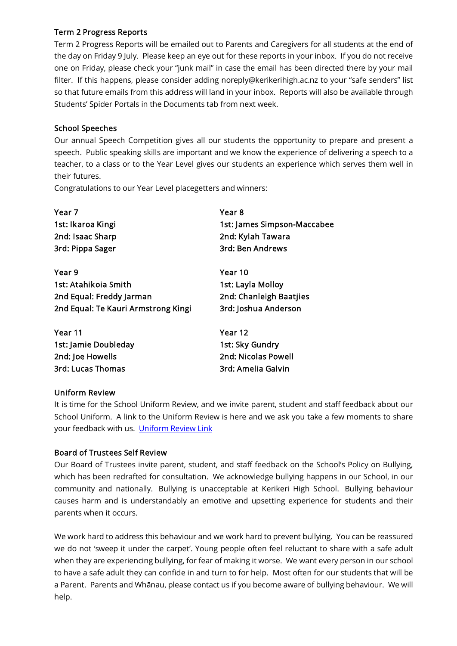### Term 2 Progress Reports

Term 2 Progress Reports will be emailed out to Parents and Caregivers for all students at the end of the day on Friday 9 July. Please keep an eye out for these reports in your inbox. If you do not receive one on Friday, please check your "junk mail" in case the email has been directed there by your mail filter. If this happens, please consider adding noreply@kerikerihigh.ac.nz to your "safe senders" list so that future emails from this address will land in your inbox. Reports will also be available through Students' Spider Portals in the Documents tab from next week.

### School Speeches

Our annual Speech Competition gives all our students the opportunity to prepare and present a speech. Public speaking skills are important and we know the experience of delivering a speech to a teacher, to a class or to the Year Level gives our students an experience which serves them well in their futures.

Congratulations to our Year Level placegetters and winners:

| Year 7                              | Year 8                      |
|-------------------------------------|-----------------------------|
| 1st: Ikaroa Kingi                   | 1st: James Simpson-Maccabee |
| 2nd: Isaac Sharp                    | 2nd: Kylah Tawara           |
| 3rd: Pippa Sager                    | <b>3rd: Ben Andrews</b>     |
| Year 9                              | Year 10                     |
| 1st: Atahikoia Smith                | 1st: Layla Molloy           |
| 2nd Equal: Freddy Jarman            | 2nd: Chanleigh Baatjies     |
| 2nd Equal: Te Kauri Armstrong Kingi | 3rd: Joshua Anderson        |
| Year 11                             | Year 12                     |
| 1st: Jamie Doubleday                | 1st: Sky Gundry             |
| 2nd: Joe Howells                    | 2nd: Nicolas Powell         |
| <b>3rd: Lucas Thomas</b>            | 3rd: Amelia Galvin          |

#### Uniform Review

It is time for the School Uniform Review, and we invite parent, student and staff feedback about our School Uniform. A link to the Uniform Review is here and we ask you take a few moments to share your feedback with us. [Uniform Review Link](https://forms.office.com/pages/responsepage.aspx?id=oWXPsU8DUUidrE5MAD-wvQa9x3aJpKtAoBRJ2RGReWxUQkpJVDlXWFpOUk80OU1WNjZRSUtQUjBERS4u&web=1&wdLOR=c7010FCDA-496F-4B85-A28E-195D5A3E0287)

# Board of Trustees Self Review

Our Board of Trustees invite parent, student, and staff feedback on the School's Policy on Bullying, which has been redrafted for consultation. We acknowledge bullying happens in our School, in our community and nationally. Bullying is unacceptable at Kerikeri High School. Bullying behaviour causes harm and is understandably an emotive and upsetting experience for students and their parents when it occurs.

We work hard to address this behaviour and we work hard to prevent bullying. You can be reassured we do not 'sweep it under the carpet'. Young people often feel reluctant to share with a safe adult when they are experiencing bullying, for fear of making it worse. We want every person in our school to have a safe adult they can confide in and turn to for help. Most often for our students that will be a Parent. Parents and Whānau, please contact us if you become aware of bullying behaviour. We will help.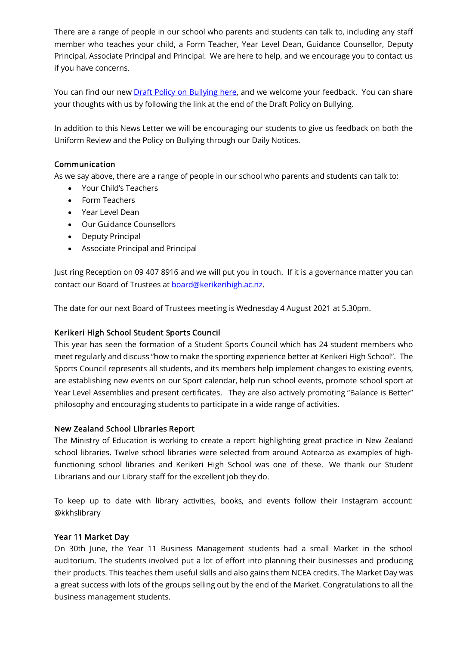There are a range of people in our school who parents and students can talk to, including any staff member who teaches your child, a Form Teacher, Year Level Dean, Guidance Counsellor, Deputy Principal, Associate Principal and Principal. We are here to help, and we encourage you to contact us if you have concerns.

You can find our new **Draft Policy on Bullying here**, and we welcome your feedback. You can share your thoughts with us by following the link at the end of the Draft Policy on Bullying.

In addition to this News Letter we will be encouraging our students to give us feedback on both the Uniform Review and the Policy on Bullying through our Daily Notices.

# Communication

As we say above, there are a range of people in our school who parents and students can talk to:

- Your Child's Teachers
- Form Teachers
- Year Level Dean
- Our Guidance Counsellors
- Deputy Principal
- Associate Principal and Principal

Just ring Reception on 09 407 8916 and we will put you in touch. If it is a governance matter you can contact our Board of Trustees at [board@kerikerihigh.ac.nz.](mailto:board@kerikerihigh.ac.nz)

The date for our next Board of Trustees meeting is Wednesday 4 August 2021 at 5.30pm.

# Kerikeri High School Student Sports Council

This year has seen the formation of a Student Sports Council which has 24 student members who meet regularly and discuss "how to make the sporting experience better at Kerikeri High School". The Sports Council represents all students, and its members help implement changes to existing events, are establishing new events on our Sport calendar, help run school events, promote school sport at Year Level Assemblies and present certificates. They are also actively promoting "Balance is Better" philosophy and encouraging students to participate in a wide range of activities.

# New Zealand School Libraries Report

The Ministry of Education is working to create a report highlighting great practice in New Zealand school libraries. Twelve school libraries were selected from around Aotearoa as examples of highfunctioning school libraries and Kerikeri High School was one of these. We thank our Student Librarians and our Library staff for the excellent job they do.

To keep up to date with library activities, books, and events follow their Instagram account: @kkhslibrary

#### Year 11 Market Day

On 30th June, the Year 11 Business Management students had a small Market in the school auditorium. The students involved put a lot of effort into planning their businesses and producing their products. This teaches them useful skills and also gains them NCEA credits. The Market Day was a great success with lots of the groups selling out by the end of the Market. Congratulations to all the business management students.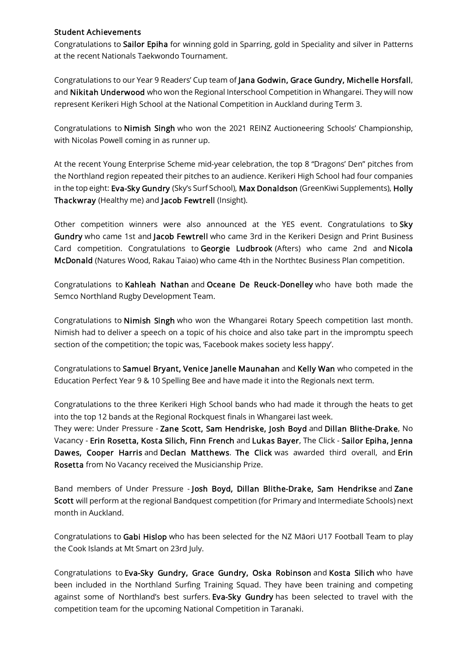#### Student Achievements

Congratulations to Sailor Epiha for winning gold in Sparring, gold in Speciality and silver in Patterns at the recent Nationals Taekwondo Tournament.

Congratulations to our Year 9 Readers' Cup team of Jana Godwin, Grace Gundry, Michelle Horsfall, and Nikitah Underwood who won the Regional Interschool Competition in Whangarei. They will now represent Kerikeri High School at the National Competition in Auckland during Term 3.

Congratulations to Nimish Singh who won the 2021 REINZ Auctioneering Schools' Championship, with Nicolas Powell coming in as runner up.

At the recent Young Enterprise Scheme mid-year celebration, the top 8 "Dragons' Den" pitches from the Northland region repeated their pitches to an audience. Kerikeri High School had four companies in the top eight: Eva-Sky Gundry (Sky's Surf School), Max Donaldson (GreenKiwi Supplements), Holly Thackwray (Healthy me) and Jacob Fewtrell (Insight).

Other competition winners were also announced at the YES event. Congratulations to Sky Gundry who came 1st and Jacob Fewtrell who came 3rd in the Kerikeri Design and Print Business Card competition. Congratulations to Georgie Ludbrook (Afters) who came 2nd and Nicola McDonald (Natures Wood, Rakau Taiao) who came 4th in the Northtec Business Plan competition.

Congratulations to Kahleah Nathan and Oceane De Reuck-Donelley who have both made the Semco Northland Rugby Development Team.

Congratulations to Nimish Singh who won the Whangarei Rotary Speech competition last month. Nimish had to deliver a speech on a topic of his choice and also take part in the impromptu speech section of the competition; the topic was, 'Facebook makes society less happy'.

Congratulations to Samuel Bryant, Venice Janelle Maunahan and Kelly Wan who competed in the Education Perfect Year 9 & 10 Spelling Bee and have made it into the Regionals next term.

Congratulations to the three Kerikeri High School bands who had made it through the heats to get into the top 12 bands at the Regional Rockquest finals in Whangarei last week.

They were: Under Pressure - Zane Scott, Sam Hendriske, Josh Boyd and Dillan Blithe-Drake, No Vacancy - Erin Rosetta, Kosta Silich, Finn French and Lukas Bayer, The Click - Sailor Epiha, Jenna Dawes, Cooper Harris and Declan Matthews. The Click was awarded third overall, and Erin Rosetta from No Vacancy received the Musicianship Prize.

Band members of Under Pressure - Josh Boyd, Dillan Blithe-Drake, Sam Hendrikse and Zane Scott will perform at the regional Bandquest competition (for Primary and Intermediate Schools) next month in Auckland.

Congratulations to Gabi Hislop who has been selected for the NZ Māori U17 Football Team to play the Cook Islands at Mt Smart on 23rd July.

Congratulations to Eva-Sky Gundry, Grace Gundry, Oska Robinson and Kosta Silich who have been included in the Northland Surfing Training Squad. They have been training and competing against some of Northland's best surfers. Eva-Sky Gundry has been selected to travel with the competition team for the upcoming National Competition in Taranaki.